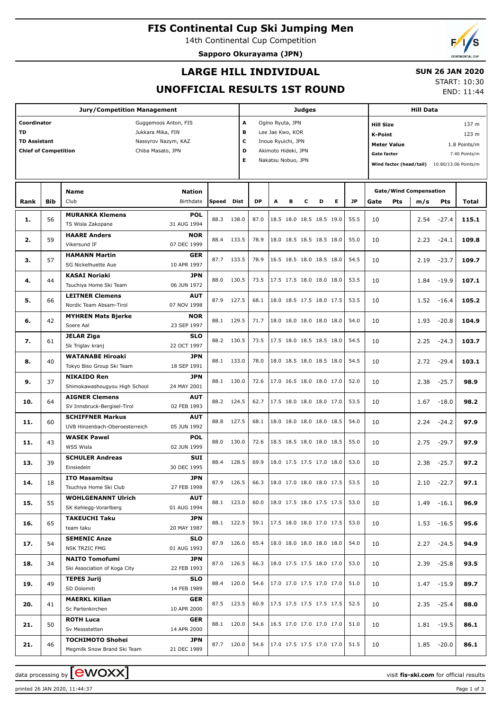## **FIS Continental Cup Ski Jumping Men**

14th Continental Cup Competition **Sapporo Okurayama (JPN)**

## **LARGE HILL INDIVIDUAL**

### **SUN 26 JAN 2020**

### **UNOFFICIAL RESULTS 1ST ROUND**

START: 10:30 END: 11:44

|                                                                                |            | <b>Jury/Competition Management</b>                                           |                                                                                       |              |                       |              |                                                                                                         |   | <b>Judges</b> |                                                      |              |                                                                                | <b>Hill Data</b>                                                                 |                    |              |  |
|--------------------------------------------------------------------------------|------------|------------------------------------------------------------------------------|---------------------------------------------------------------------------------------|--------------|-----------------------|--------------|---------------------------------------------------------------------------------------------------------|---|---------------|------------------------------------------------------|--------------|--------------------------------------------------------------------------------|----------------------------------------------------------------------------------|--------------------|--------------|--|
| Coordinator<br><b>TD</b><br><b>TD Assistant</b><br><b>Chief of Competition</b> |            |                                                                              | Guggemoos Anton, FIS<br>Jukkara Mika, FIN<br>Nassyrov Nazym, KAZ<br>Chiba Masato, JPN |              | A<br>в<br>с<br>D<br>Е |              | Ogino Ryuta, JPN<br>Lee Jae Kwo, KOR<br>Inoue Ryuichi, JPN<br>Akimoto Hideki, JPN<br>Nakatsu Nobuo, JPN |   |               |                                                      |              | <b>Hill Size</b><br><b>K-Point</b><br><b>Meter Value</b><br><b>Gate factor</b> | 1.8 Points/m<br>7.40 Points/m<br>Wind factor (head/tail)<br>10.80/13.06 Points/m |                    |              |  |
| Rank                                                                           | <b>Bib</b> | Name<br>Club                                                                 | Nation<br>Birthdate                                                                   | Speed        | Dist                  | <b>DP</b>    | A                                                                                                       | в | С             | Е<br>D                                               | <b>JP</b>    | <b>Gate/Wind Compensation</b><br>Gate<br><b>Pts</b>                            | m/s                                                                              | Pts                | Total        |  |
| 1.                                                                             | 56         | <b>MURANKA Klemens</b><br>TS Wisla Zakopane                                  | <b>POL</b><br>31 AUG 1994                                                             | 88.3         | 138.0                 | 87.0         |                                                                                                         |   |               | 18.5 18.0 18.5 18.5 19.0                             | 55.5         | 10                                                                             | 2.54                                                                             | $-27.4$            | 115.1        |  |
| 2.                                                                             | 59         | <b>HAARE Anders</b><br>Vikersund IF                                          | <b>NOR</b><br>07 DEC 1999                                                             | 88.4         | 133.5                 | 78.9         |                                                                                                         |   |               | 18.0 18.5 18.5 18.5 18.0                             | 55.0         | 10                                                                             | 2.23                                                                             | $-24.1$            | 109.8        |  |
| з.                                                                             | 57         | <b>HAMANN Martin</b><br>SG Nickelhuette Aue                                  | GER<br>10 APR 1997                                                                    | 87.7         | 133.5                 | 78.9         |                                                                                                         |   |               | 16.5 18.5 18.0 18.5 18.0                             | 54.5         | 10                                                                             | 2.19                                                                             | $-23.7$            | 109.7        |  |
| 4.                                                                             | 44         | <b>KASAI Noriaki</b><br>Tsuchiya Home Ski Team                               | <b>JPN</b><br>06 JUN 1972                                                             | 88.0         | 130.5                 | 73.5         |                                                                                                         |   |               | 17.5 17.5 18.0 18.0 18.0                             | 53.5         | 10                                                                             | 1.84                                                                             | $-19.9$            | 107.1        |  |
| 5.                                                                             | 66         | <b>LEITNER Clemens</b><br>Nordic Team Absam-Tirol                            | <b>AUT</b><br>07 NOV 1998                                                             | 87.9         | 127.5                 | 68.1         |                                                                                                         |   |               | 18.0 18.5 17.5 18.0 17.5                             | 53.5         | 10                                                                             | 1.52                                                                             | $-16.4$            | 105.2        |  |
| 6.                                                                             | 42         | <b>MYHREN Mats Bjerke</b><br>Soere Aal<br>JELAR Ziga                         | <b>NOR</b><br>23 SEP 1997<br><b>SLO</b>                                               | 88.1         | 129.5                 | 71.7         |                                                                                                         |   |               | 18.0 18.0 18.0 18.0 18.0                             | 54.0         | 10                                                                             | 1.93                                                                             | $-20.8$            | 104.9        |  |
| 7.                                                                             | 61         | Sk Triglav kranj<br><b>WATANABE Hiroaki</b>                                  | 22 OCT 1997<br><b>JPN</b>                                                             | 88.2         | 130.5                 | 73.5         |                                                                                                         |   |               | 17.5 18.0 18.5 18.5 18.0                             | 54.5         | 10                                                                             | 2.25                                                                             | $-24.3$            | 103.7        |  |
| 8.                                                                             | 40         | Tokyo Biso Group Ski Team<br><b>NIKAIDO Ren</b>                              | 18 SEP 1991<br><b>JPN</b>                                                             | 88.1         | 133.0                 | 78.0         |                                                                                                         |   |               | 18.0 18.5 18.0 18.5 18.0                             | 54.5         | 10                                                                             | 2.72                                                                             | $-29.4$            | 103.1        |  |
| 9.                                                                             | 37         | Shimokawashougyou High School<br><b>AIGNER Clemens</b>                       | 24 MAY 2001<br><b>AUT</b>                                                             | 88.1         | 130.0                 | 72.6         |                                                                                                         |   |               | 17.0 16.5 18.0 18.0 17.0                             | 52.0         | 10                                                                             | 2.38                                                                             | $-25.7$            | 98.9         |  |
| 10.                                                                            | 64         | SV Innsbruck-Bergisel-Tirol<br><b>SCHIFFNER Markus</b>                       | 02 FEB 1993<br><b>AUT</b>                                                             | 88.2<br>88.8 | 124.5<br>127.5        | 62.7         |                                                                                                         |   |               | 17.5 18.0 18.0 18.0 17.0<br>18.0 18.0 18.0 18.0 18.5 | 53.5         | 10                                                                             | 1.67                                                                             | $-18.0$            | 98.2         |  |
| 11.<br>11.                                                                     | 60<br>43   | UVB Hinzenbach-Oberoesterreich<br><b>WASEK Pawel</b>                         | 05 JUN 1992<br><b>POL</b>                                                             | 88.0         | 130.0                 | 68.1<br>72.6 |                                                                                                         |   |               | 18.5 18.5 18.0 18.0 18.5                             | 54.0<br>55.0 | 10<br>10                                                                       | 2.24<br>2.75                                                                     | $-24.2$<br>$-29.7$ | 97.9<br>97.9 |  |
| 13.                                                                            | 39         | WSS Wisla<br><b>SCHULER Andreas</b>                                          | 02 JUN 1999<br><b>SUI</b>                                                             | 88.4         | 128.5                 | 69.9         |                                                                                                         |   |               | 18.0 17.5 17.5 17.0 18.0                             | 53.0         | 10                                                                             | 2.38                                                                             | $-25.7$            | 97.2         |  |
| 14.                                                                            | 18         | Einsiedeln<br><b>ITO Masamitsu</b>                                           | 30 DEC 1995<br><b>JPN</b>                                                             |              | 87.9 126.5            | 66.3         |                                                                                                         |   |               | 18.0 17.0 18.0 18.0 17.5                             | 53.5         | 10                                                                             |                                                                                  | $2.10 -22.7$       | 97.1         |  |
| 15.                                                                            | 55         | Tsuchiya Home Ski Club<br><b>WOHLGENANNT Ulrich</b><br>SK Kehlegg-Vorarlberg | 27 FEB 1998<br><b>AUT</b><br>01 AUG 1994                                              |              | 88.1 123.0            | 60.0         |                                                                                                         |   |               | 18.0 17.5 18.0 17.5 17.5                             | 53.0         | 10                                                                             |                                                                                  | $1.49 - 16.1$      | 96.9         |  |
| 16.                                                                            | 65         | <b>TAKEUCHI Taku</b><br>team taku                                            | JPN<br>20 MAY 1987                                                                    |              | 88.1 122.5            | 59.1         |                                                                                                         |   |               | 17.5 18.0 18.0 17.0 17.5                             | 53.0         | 10                                                                             |                                                                                  | $1.53 - 16.5$      | 95.6         |  |
| 17.                                                                            | 54         | <b>SEMENIC Anze</b><br>NSK TRZIC FMG                                         | SLO<br>01 AUG 1993                                                                    |              | 87.9 126.0            | 65.4         |                                                                                                         |   |               | 18.0 18.0 18.0 18.0 18.0                             | 54.0         | 10                                                                             |                                                                                  | $2.27 - 24.5$      | 94.9         |  |
| 18.                                                                            | 34         | <b>NAITO Tomofumi</b><br>Ski Association of Koga City                        | JPN<br>22 FEB 1993                                                                    |              | 87.0 126.5            | 66.3         |                                                                                                         |   |               | 18.0 17.5 17.5 18.0 17.0                             | 53.0         | 10                                                                             |                                                                                  | $2.39 - 25.8$      | 93.5         |  |
| 19.                                                                            | 49         | <b>TEPES Jurij</b><br>SD Dolomiti                                            | SLO<br>14 FEB 1989                                                                    |              | 88.4 120.0            | 54.6         |                                                                                                         |   |               | 17.0 17.0 17.5 17.0 17.0                             | 51.0         | 10                                                                             |                                                                                  | 1.47 -15.9         | 89.7         |  |
| 20.                                                                            | 41         | <b>MAERKL Kilian</b><br>Sc Partenkirchen                                     | <b>GER</b><br>10 APR 2000                                                             |              | 87.5 123.5            | 60.9         |                                                                                                         |   |               | 17.5 17.5 17.5 17.5 17.5                             | 52.5         | 10                                                                             |                                                                                  | $2.35 - 25.4$      | 88.0         |  |
| 21.                                                                            | 50         | <b>ROTH Luca</b><br>Sv Messstetten                                           | <b>GER</b><br>14 APR 2000                                                             |              | 88.1 120.0            | 54.6         |                                                                                                         |   |               | 16.5 17.0 17.0 17.0 17.0                             | 51.0         | 10                                                                             |                                                                                  | $1.81 - 19.5$      | 86.1         |  |
| 21.                                                                            | 46         | <b>TOCHIMOTO Shohei</b><br>Megmilk Snow Brand Ski Team                       | JPN<br>21 DEC 1989                                                                    |              | 87.7 120.0            | 54.6         |                                                                                                         |   |               | 17.0 17.5 17.5 17.0 17.0                             | 51.5         | 10                                                                             |                                                                                  | $1.85 - 20.0$      | 86.1         |  |

data processing by **CWOXX** and  $\overline{C}$  and  $\overline{C}$  and  $\overline{C}$  and  $\overline{C}$  and  $\overline{C}$  and  $\overline{C}$  and  $\overline{C}$  and  $\overline{C}$  and  $\overline{C}$  and  $\overline{C}$  and  $\overline{C}$  and  $\overline{C}$  and  $\overline{C}$  and  $\overline{C}$  and  $\overline{C}$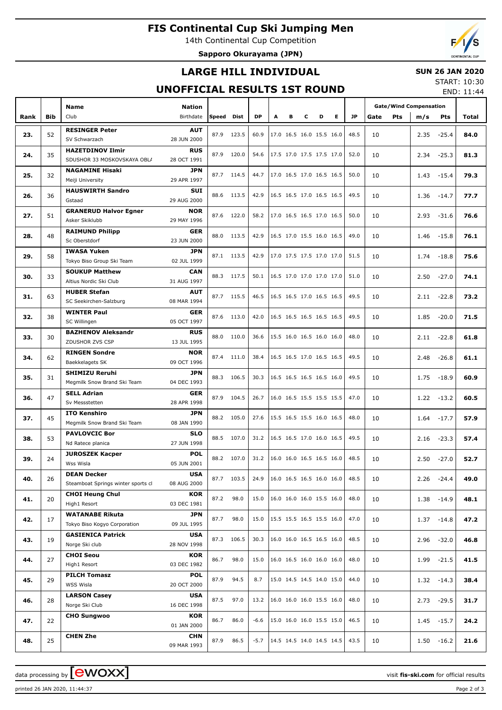## **FIS Continental Cup Ski Jumping Men**

14th Continental Cup Competition

**Sapporo Okurayama (JPN)**



### **LARGE HILL INDIVIDUAL**

#### **SUN 26 JAN 2020**

### **UNOFFICIAL RESULTS 1ST ROUND**

START: 10:30 END: 11:44

|      |     | Name                                         | <b>Nation</b>             |       |            |           |   |   |   |                          |           | <b>Gate/Wind Compensation</b> |      |               |       |
|------|-----|----------------------------------------------|---------------------------|-------|------------|-----------|---|---|---|--------------------------|-----------|-------------------------------|------|---------------|-------|
| Rank | Bib | Club                                         | Birthdate                 | Speed | Dist       | <b>DP</b> | A | в | c | Е<br>D                   | <b>JP</b> | Gate<br><b>Pts</b>            | m/s  | <b>Pts</b>    | Total |
|      |     | <b>RESINGER Peter</b>                        | <b>AUT</b>                |       |            |           |   |   |   |                          |           |                               |      |               |       |
| 23.  | 52  | SV Schwarzach                                | 28 JUN 2000               | 87.9  | 123.5      | 60.9      |   |   |   | 17.0 16.5 16.0 15.5 16.0 | 48.5      | 10                            | 2.35 | $-25.4$       | 84.0  |
|      |     | <b>HAZETDINOV Ilmir</b>                      | <b>RUS</b>                |       |            |           |   |   |   |                          |           |                               |      |               |       |
| 24.  | 35  | SDUSHOR 33 MOSKOVSKAYA OBLA                  | 28 OCT 1991               | 87.9  | 120.0      | 54.6      |   |   |   | 17.5 17.0 17.5 17.5 17.0 | 52.0      | 10                            | 2.34 | $-25.3$       | 81.3  |
| 25.  | 32  | <b>NAGAMINE Hisaki</b>                       | JPN                       |       | 87.7 114.5 | 44.7      |   |   |   | 17.0 16.5 17.0 16.5 16.5 | 50.0      | 10                            | 1.43 | $-15.4$       | 79.3  |
|      |     | Meiji University                             | 29 APR 1997               |       |            |           |   |   |   |                          |           |                               |      |               |       |
| 26.  | 36  | <b>HAUSWIRTH Sandro</b>                      | SUI                       |       | 88.6 113.5 | 42.9      |   |   |   | 16.5 16.5 17.0 16.5 16.5 | 49.5      | 10                            | 1.36 | -14.7         | 77.7  |
|      |     | Gstaad                                       | 29 AUG 2000               |       |            |           |   |   |   |                          |           |                               |      |               |       |
| 27.  | 51  | <b>GRANERUD Halvor Egner</b>                 | <b>NOR</b>                |       | 87.6 122.0 | 58.2      |   |   |   | 17.0 16.5 16.5 17.0 16.5 | 50.0      | 10                            | 2.93 | $-31.6$       | 76.6  |
|      |     | Asker Skiklubb                               | 29 MAY 1996               |       |            |           |   |   |   |                          |           |                               |      |               |       |
| 28.  | 48  | <b>RAIMUND Philipp</b><br>Sc Oberstdorf      | <b>GER</b><br>23 JUN 2000 | 88.0  | 113.5      | 42.9      |   |   |   | 16.5 17.0 15.5 16.0 16.5 | 49.0      | 10                            | 1.46 | $-15.8$       | 76.1  |
|      |     | <b>IWASA Yuken</b>                           | JPN                       |       |            |           |   |   |   |                          |           |                               |      |               |       |
| 29.  | 58  | Tokyo Biso Group Ski Team                    | 02 JUL 1999               |       | 87.1 113.5 | 42.9      |   |   |   | 17.0 17.5 17.5 17.0 17.0 | 51.5      | 10                            | 1.74 | $-18.8$       | 75.6  |
|      |     | <b>SOUKUP Matthew</b>                        | <b>CAN</b>                |       |            |           |   |   |   |                          |           |                               |      |               |       |
| 30.  | 33  | Altius Nordic Ski Club                       | 31 AUG 1997               |       | 88.3 117.5 | 50.1      |   |   |   | 16.5 17.0 17.0 17.0 17.0 | 51.0      | 10                            | 2.50 | $-27.0$       | 74.1  |
| 31.  | 63  | <b>HUBER Stefan</b>                          | <b>AUT</b>                |       | 87.7 115.5 | 46.5      |   |   |   | 16.5 16.5 17.0 16.5 16.5 | 49.5      | 10                            | 2.11 | $-22.8$       | 73.2  |
|      |     | SC Seekirchen-Salzburg                       | 08 MAR 1994               |       |            |           |   |   |   |                          |           |                               |      |               |       |
| 32.  | 38  | <b>WINTER Paul</b>                           | GER                       | 87.6  | 113.0      | 42.0      |   |   |   | 16.5 16.5 16.5 16.5 16.5 | 49.5      | 10                            | 1.85 | $-20.0$       | 71.5  |
|      |     | SC Willingen                                 | 05 OCT 1997               |       |            |           |   |   |   |                          |           |                               |      |               |       |
| 33.  | 30  | <b>BAZHENOV Aleksandr</b><br>ZDUSHOR ZVS CSP | <b>RUS</b>                | 88.0  | 110.0      | 36.6      |   |   |   | 15.5 16.0 16.5 16.0 16.0 | 48.0      | 10                            | 2.11 | $-22.8$       | 61.8  |
|      |     | <b>RINGEN Sondre</b>                         | 13 JUL 1995<br><b>NOR</b> |       |            |           |   |   |   |                          |           |                               |      |               |       |
| 34.  | 62  | Baekkelagets SK                              | 09 OCT 1996               | 87.4  | 111.0      | 38.4      |   |   |   | 16.5 16.5 17.0 16.5 16.5 | 49.5      | 10                            | 2.48 | $-26.8$       | 61.1  |
|      |     | <b>SHIMIZU Reruhi</b>                        | JPN                       |       |            |           |   |   |   |                          |           |                               |      |               |       |
| 35.  | 31  | Megmilk Snow Brand Ski Team                  | 04 DEC 1993               | 88.3  | 106.5      | 30.3      |   |   |   | 16.5 16.5 16.5 16.5 16.0 | 49.5      | 10                            | 1.75 | $-18.9$       | 60.9  |
|      |     | <b>SELL Adrian</b>                           | GER                       |       |            |           |   |   |   |                          |           |                               |      |               |       |
| 36.  | 47  | Sv Messstetten                               | 28 APR 1998               | 87.9  | 104.5      | 26.7      |   |   |   | 16.0 16.5 15.5 15.5 15.5 | 47.0      | 10                            | 1.22 | $-13.2$       | 60.5  |
| 37.  | 45  | <b>ITO Kenshiro</b>                          | JPN                       | 88.2  | 105.0      | 27.6      |   |   |   | 15.5 16.5 15.5 16.0 16.5 | 48.0      | 10                            | 1.64 | $-17.7$       | 57.9  |
|      |     | Megmilk Snow Brand Ski Team                  | 08 JAN 1990               |       |            |           |   |   |   |                          |           |                               |      |               |       |
| 38.  | 53  | <b>PAVLOVCIC Bor</b>                         | <b>SLO</b>                | 88.5  | 107.0      | 31.2      |   |   |   | 16.5 16.5 17.0 16.0 16.5 | 49.5      | 10                            | 2.16 | $-23.3$       | 57.4  |
|      |     | Nd Ratece planica                            | 27 JUN 1998               |       |            |           |   |   |   |                          |           |                               |      |               |       |
| 39.  | 24  | <b>JUROSZEK Kacper</b><br>Wss Wisla          | <b>POL</b><br>05 JUN 2001 |       | 88.2 107.0 | 31.2      |   |   |   | 16.0 16.0 16.5 16.5 16.0 | 48.5      | 10                            | 2.50 | $-27.0$       | 52.7  |
|      |     | <b>DEAN Decker</b>                           | <b>USA</b>                |       |            |           |   |   |   |                          |           |                               |      |               |       |
| 40.  | 26  | Steamboat Springs winter sports cl           | 08 AUG 2000               |       | 87.7 103.5 | 24.9      |   |   |   | 16.0 16.5 16.5 16.0 16.0 | 48.5      | 10                            |      | $2.26 -24.4$  | 49.0  |
|      |     | <b>CHOI Heung Chul</b>                       | KOR                       |       |            |           |   |   |   |                          |           |                               |      |               |       |
| 41.  | 20  | High1 Resort                                 | 03 DEC 1981               | 87.2  | 98.0       | 15.0      |   |   |   | 16.0 16.0 16.0 15.5 16.0 | 48.0      | 10                            |      | 1.38 -14.9    | 48.1  |
| 42.  | 17  | <b>WATANABE Rikuta</b>                       | JPN                       | 87.7  | 98.0       | 15.0      |   |   |   | 15.5 15.5 16.5 15.5 16.0 | 47.0      | 10                            |      | $1.37 - 14.8$ | 47.2  |
|      |     | Tokyo Biso Kogyo Corporation                 | 09 JUL 1995               |       |            |           |   |   |   |                          |           |                               |      |               |       |
| 43.  | 19  | <b>GASIENICA Patrick</b>                     | <b>USA</b>                |       | 87.3 106.5 | 30.3      |   |   |   | 16.0 16.0 16.5 16.5 16.0 | 48.5      | 10                            |      | $2.96 - 32.0$ | 46.8  |
|      |     | Norge Ski club                               | 28 NOV 1998               |       |            |           |   |   |   |                          |           |                               |      |               |       |
| 44.  | 27  | <b>CHOI Seou</b><br>High1 Resort             | KOR<br>03 DEC 1982        | 86.7  | 98.0       | 15.0      |   |   |   | 16.0 16.5 16.0 16.0 16.0 | 48.0      | 10                            |      | 1.99 -21.5    | 41.5  |
|      |     | <b>PILCH Tomasz</b>                          | <b>POL</b>                |       |            |           |   |   |   |                          |           |                               |      |               |       |
| 45.  | 29  | WSS Wisla                                    | 20 OCT 2000               | 87.9  | 94.5       | 8.7       |   |   |   | 15.0 14.5 14.5 14.0 15.0 | 44.0      | 10                            |      | $1.32 - 14.3$ | 38.4  |
|      |     | <b>LARSON Casey</b>                          | USA                       |       |            |           |   |   |   |                          |           |                               |      |               |       |
| 46.  | 28  | Norge Ski Club                               | 16 DEC 1998               | 87.5  | 97.0       | 13.2      |   |   |   | 16.0 16.0 16.0 15.5 16.0 | 48.0      | 10                            |      | $2.73 - 29.5$ | 31.7  |
| 47.  | 22  | <b>CHO Sungwoo</b>                           | KOR                       | 86.7  | 86.0       | $-6.6$    |   |   |   | 15.0 16.0 16.0 15.5 15.0 | 46.5      | 10                            |      | $1.45 - 15.7$ | 24.2  |
|      |     |                                              | 01 JAN 2000               |       |            |           |   |   |   |                          |           |                               |      |               |       |
| 48.  | 25  | <b>CHEN Zhe</b>                              | <b>CHN</b>                | 87.9  | 86.5       | $-5.7$    |   |   |   | 14.5 14.5 14.0 14.5 14.5 | 43.5      | 10                            |      | $1.50 - 16.2$ | 21.6  |
|      |     |                                              | 09 MAR 1993               |       |            |           |   |   |   |                          |           |                               |      |               |       |

data processing by **CWOXX** and  $\overline{C}$  and  $\overline{C}$  and  $\overline{C}$  and  $\overline{C}$  and  $\overline{C}$  and  $\overline{C}$  and  $\overline{C}$  and  $\overline{C}$  and  $\overline{C}$  and  $\overline{C}$  and  $\overline{C}$  and  $\overline{C}$  and  $\overline{C}$  and  $\overline{C}$  and  $\overline{C}$ 

printed 26 JAN 2020, 11:44:37 Page 2 of 3